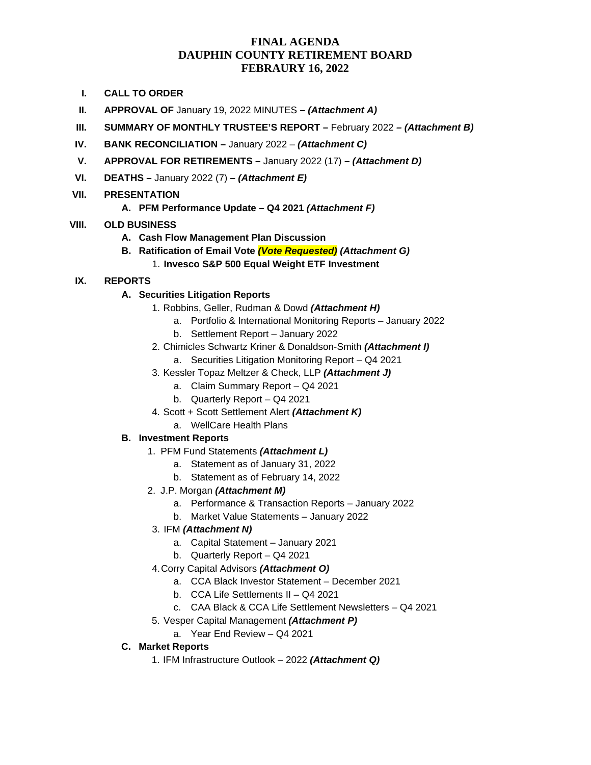## **FINAL AGENDA DAUPHIN COUNTY RETIREMENT BOARD FEBRAURY 16, 2022**

- **I. CALL TO ORDER**
- **II. APPROVAL OF** January 19, 2022 MINUTES **–** *(Attachment A)*
- **III. SUMMARY OF MONTHLY TRUSTEE'S REPORT –** February 2022 *– (Attachment B)*
- **IV. BANK RECONCILIATION –** January 2022 *(Attachment C)*
- **V. APPROVAL FOR RETIREMENTS –** January 2022 (17) **–** *(Attachment D)*
- **VI. DEATHS –** January 2022 (7) **–** *(Attachment E)*

### **VII. PRESENTATION**

**A. PFM Performance Update – Q4 2021** *(Attachment F)*

### **VIII. OLD BUSINESS**

- **A. Cash Flow Management Plan Discussion**
- **B. Ratification of Email Vote** *(Vote Requested) (Attachment G)*
	- 1. **Invesco S&P 500 Equal Weight ETF Investment**

### **IX. REPORTS**

### **A. Securities Litigation Reports**

- 1. Robbins, Geller, Rudman & Dowd *(Attachment H)*
	- a. Portfolio & International Monitoring Reports January 2022
	- b. Settlement Report January 2022
- 2. Chimicles Schwartz Kriner & Donaldson-Smith *(Attachment I)* 
	- a. Securities Litigation Monitoring Report Q4 2021
- 3. Kessler Topaz Meltzer & Check, LLP *(Attachment J)* 
	- a. Claim Summary Report Q4 2021
	- b. Quarterly Report Q4 2021
- 4. Scott + Scott Settlement Alert *(Attachment K)*
	- a. WellCare Health Plans

#### **B. Investment Reports**

- 1. PFM Fund Statements *(Attachment L)*
	- a. Statement as of January 31, 2022
	- b. Statement as of February 14, 2022
- 2. J.P. Morgan *(Attachment M)*
	- a. Performance & Transaction Reports January 2022
	- b. Market Value Statements January 2022
	- 3. IFM *(Attachment N)*
		- a. Capital Statement January 2021
		- b. Quarterly Report Q4 2021
- 4.Corry Capital Advisors *(Attachment O)*
	- a. CCA Black Investor Statement December 2021
	- b. CCA Life Settlements II Q4 2021
	- c. CAA Black & CCA Life Settlement Newsletters Q4 2021
- 5. Vesper Capital Management *(Attachment P)*
	- a. Year End Review Q4 2021

#### **C. Market Reports**

1. IFM Infrastructure Outlook – 2022 *(Attachment Q)*